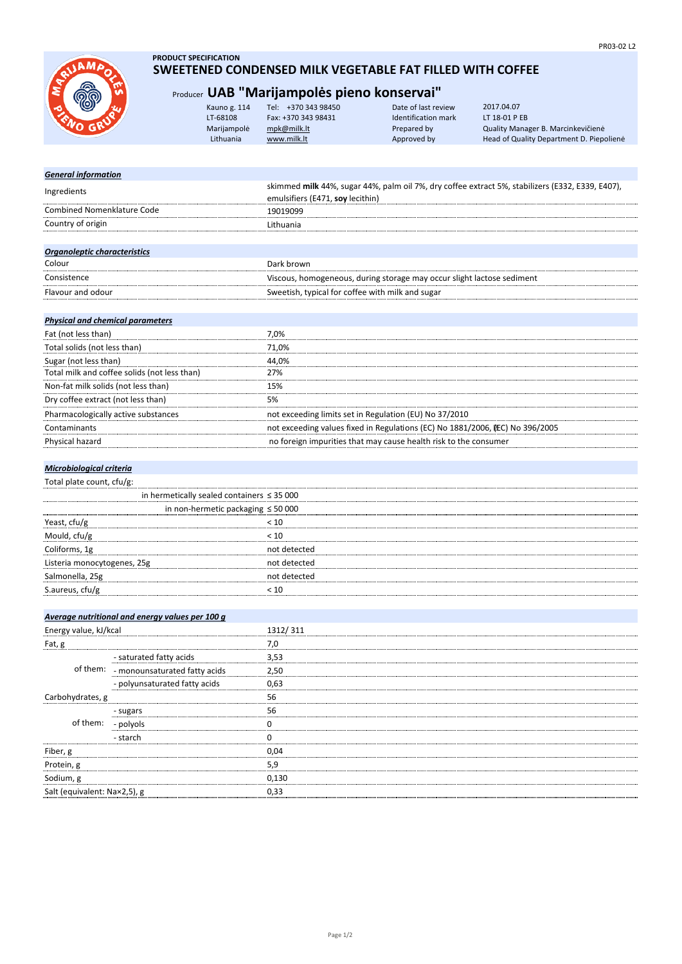JAMA

## **PRODUCT SPECIFICATION SWEETENED CONDENSED MILK VEGETABLE FAT FILLED WITH COFFEE**

## Producer **UAB "Marijampolės pieno konservai"**

|      | Kauno g. 114 | +370 343 98450<br>Tel: | Date of last review | 2017.04.07                               |
|------|--------------|------------------------|---------------------|------------------------------------------|
| RUSH | LT-68108     | Fax: +370 343 98431    | Identification mark | LT 18-01 P EB                            |
|      | Marijampolė  | mpk@milk.lt            | Prepared by         | Quality Manager B. Marcinkevičienė       |
|      | Lithuania    | www.milk.lt            | Approved by         | Head of Quality Department D. Piepolienė |
|      |              |                        |                     |                                          |

| skimmed milk 44%, sugar 44%, palm oil 7%, dry coffee extract 5%, stabilizers (E332, E339, E407), |  |  |
|--------------------------------------------------------------------------------------------------|--|--|
| emulsifiers (E471, soy lecithin)                                                                 |  |  |
| 19019099                                                                                         |  |  |
| Lithuania                                                                                        |  |  |
|                                                                                                  |  |  |
|                                                                                                  |  |  |
| Dark brown                                                                                       |  |  |
| Viscous, homogeneous, during storage may occur slight lactose sediment                           |  |  |
| Sweetish, typical for coffee with milk and sugar                                                 |  |  |
|                                                                                                  |  |  |
|                                                                                                  |  |  |
| 7,0%                                                                                             |  |  |
| 71,0%                                                                                            |  |  |
| 44,0%                                                                                            |  |  |
| 27%                                                                                              |  |  |
| 15%                                                                                              |  |  |
| 5%                                                                                               |  |  |
| not exceeding limits set in Regulation (EU) No 37/2010                                           |  |  |
| not exceeding values fixed in Regulations (EC) No 1881/2006, EC) No 396/2005                     |  |  |
| no foreign impurities that may cause health risk to the consumer                                 |  |  |
|                                                                                                  |  |  |

## *Microbiological criteria*

|  | Total plate count, cfu/g: |  |
|--|---------------------------|--|
|  |                           |  |

|                             | in hermetically sealed containers $\leq$ 35 000 |  |
|-----------------------------|-------------------------------------------------|--|
|                             | in non-hermetic packaging $\leq 50000$          |  |
| Yeast, cfu/g                | 10 >                                            |  |
| Mould, cfu/g                |                                                 |  |
| Coliforms, 1g               | hot detected                                    |  |
| Listeria monocytogenes, 25g | not detected                                    |  |
| Salmonella, 25g             | not detected                                    |  |
| S.aureus, cfu/g             |                                                 |  |
|                             |                                                 |  |

|                              | Average nutritional and energy values per 100 g |          |
|------------------------------|-------------------------------------------------|----------|
| Energy value, kJ/kcal        |                                                 | 1312/311 |
| Fat, g                       |                                                 | 7,0      |
|                              | - saturated fatty acids                         | 3,53     |
|                              | of them: - monounsaturated fatty acids          | 2,50     |
|                              | - polyunsaturated fatty acids                   | 0.63     |
| Carbohydrates, g             |                                                 | 56       |
|                              | - sugars                                        | 56       |
| of them:                     | - polyols                                       |          |
|                              | - starch                                        |          |
| Fiber, g                     |                                                 | 0.04     |
| Protein, g                   |                                                 | 5.9      |
| Sodium, g                    |                                                 | 0,130    |
| Salt (equivalent: Na×2,5), g |                                                 | 0,33     |